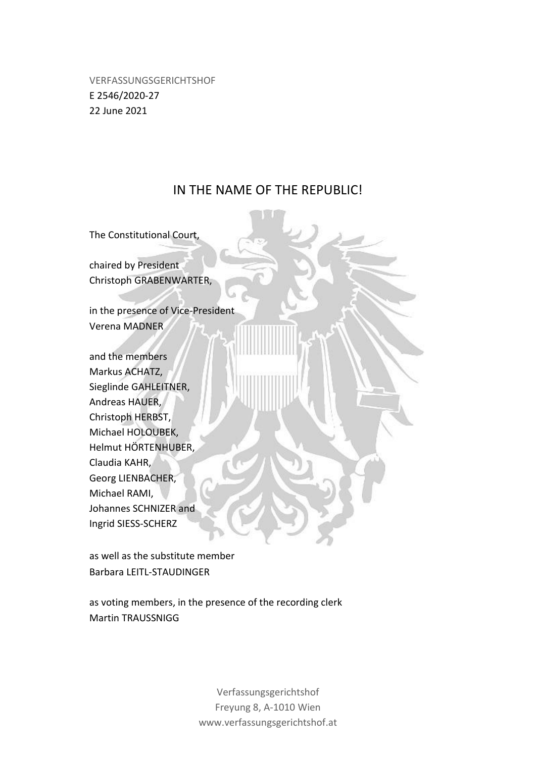VERFASSUNGSGERICHTSHOF E 2546/2020-27 22 June 2021

# IN THE NAME OF THE REPUBLIC!

The Constitutional Court,

chaired by President Christoph GRABENWARTER,

in the presence of Vice-President Verena MADNER

and the members Markus ACHATZ, Sieglinde GAHLEITNER, Andreas HAUER, Christoph HERBST, Michael HOLOUBEK, Helmut HÖRTENHUBER, Claudia KAHR, Georg LIENBACHER, Michael RAMI, Johannes SCHNIZER and Ingrid SIESS-SCHERZ

as well as the substitute member Barbara LEITL-STAUDINGER

as voting members, in the presence of the recording clerk Martin TRAUSSNIGG

> Verfassungsgerichtshof Freyung 8, A-1010 Wien www.verfassungsgerichtshof.at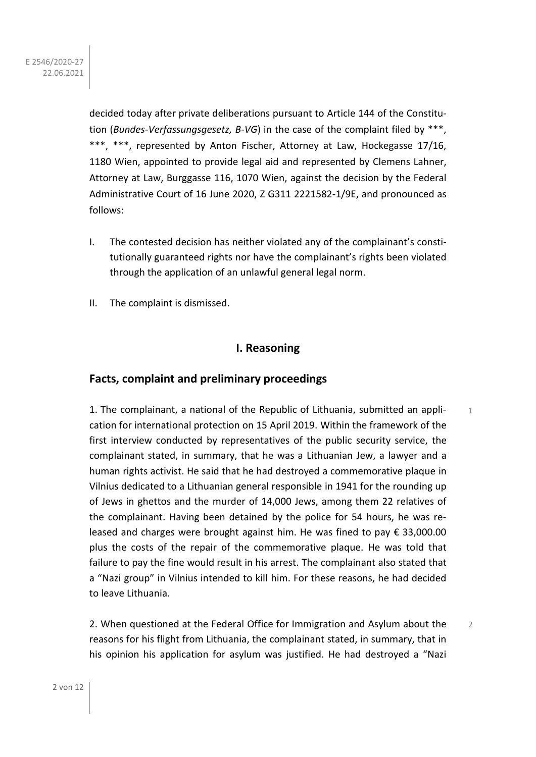decided today after private deliberations pursuant to Article 144 of the Constitution (*Bundes-Verfassungsgesetz, B-VG*) in the case of the complaint filed by \*\*\*, \*\*\*, \*\*\*, represented by Anton Fischer, Attorney at Law, Hockegasse 17/16, 1180 Wien, appointed to provide legal aid and represented by Clemens Lahner, Attorney at Law, Burggasse 116, 1070 Wien, against the decision by the Federal Administrative Court of 16 June 2020, Z G311 2221582-1/9E, and pronounced as follows:

- I. The contested decision has neither violated any of the complainant's constitutionally guaranteed rights nor have the complainant's rights been violated through the application of an unlawful general legal norm.
- II. The complaint is dismissed.

# **I. Reasoning**

# **Facts, complaint and preliminary proceedings**

1. The complainant, a national of the Republic of Lithuania, submitted an application for international protection on 15 April 2019. Within the framework of the first interview conducted by representatives of the public security service, the complainant stated, in summary, that he was a Lithuanian Jew, a lawyer and a human rights activist. He said that he had destroyed a commemorative plaque in Vilnius dedicated to a Lithuanian general responsible in 1941 for the rounding up of Jews in ghettos and the murder of 14,000 Jews, among them 22 relatives of the complainant. Having been detained by the police for 54 hours, he was released and charges were brought against him. He was fined to pay € 33,000.00 plus the costs of the repair of the commemorative plaque. He was told that failure to pay the fine would result in his arrest. The complainant also stated that a "Nazi group" in Vilnius intended to kill him. For these reasons, he had decided to leave Lithuania.

1

2. When questioned at the Federal Office for Immigration and Asylum about the reasons for his flight from Lithuania, the complainant stated, in summary, that in his opinion his application for asylum was justified. He had destroyed a "Nazi 2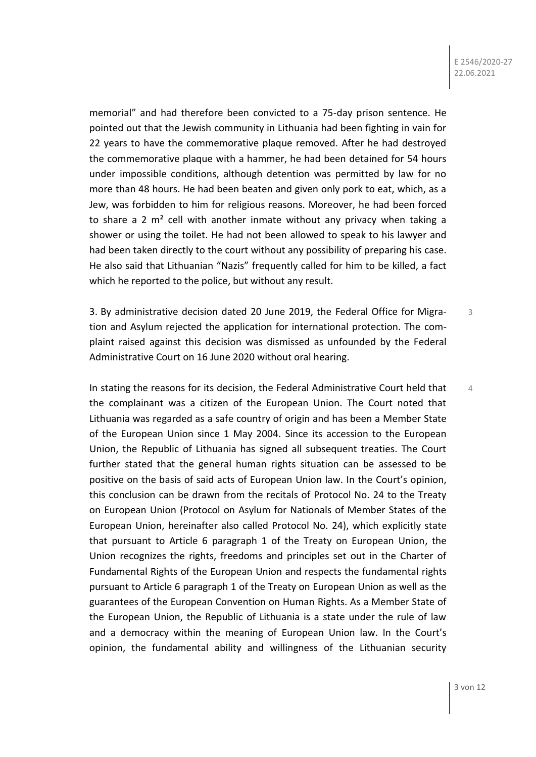memorial" and had therefore been convicted to a 75-day prison sentence. He pointed out that the Jewish community in Lithuania had been fighting in vain for 22 years to have the commemorative plaque removed. After he had destroyed the commemorative plaque with a hammer, he had been detained for 54 hours under impossible conditions, although detention was permitted by law for no more than 48 hours. He had been beaten and given only pork to eat, which, as a Jew, was forbidden to him for religious reasons. Moreover, he had been forced to share a 2  $m<sup>2</sup>$  cell with another inmate without any privacy when taking a shower or using the toilet. He had not been allowed to speak to his lawyer and had been taken directly to the court without any possibility of preparing his case. He also said that Lithuanian "Nazis" frequently called for him to be killed, a fact which he reported to the police, but without any result.

3. By administrative decision dated 20 June 2019, the Federal Office for Migration and Asylum rejected the application for international protection. The complaint raised against this decision was dismissed as unfounded by the Federal Administrative Court on 16 June 2020 without oral hearing. 3

In stating the reasons for its decision, the Federal Administrative Court held that the complainant was a citizen of the European Union. The Court noted that Lithuania was regarded as a safe country of origin and has been a Member State of the European Union since 1 May 2004. Since its accession to the European Union, the Republic of Lithuania has signed all subsequent treaties. The Court further stated that the general human rights situation can be assessed to be positive on the basis of said acts of European Union law. In the Court's opinion, this conclusion can be drawn from the recitals of Protocol No. 24 to the Treaty on European Union (Protocol on Asylum for Nationals of Member States of the European Union, hereinafter also called Protocol No. 24), which explicitly state that pursuant to Article 6 paragraph 1 of the Treaty on European Union, the Union recognizes the rights, freedoms and principles set out in the Charter of Fundamental Rights of the European Union and respects the fundamental rights pursuant to Article 6 paragraph 1 of the Treaty on European Union as well as the guarantees of the European Convention on Human Rights. As a Member State of the European Union, the Republic of Lithuania is a state under the rule of law and a democracy within the meaning of European Union law. In the Court's opinion, the fundamental ability and willingness of the Lithuanian security

4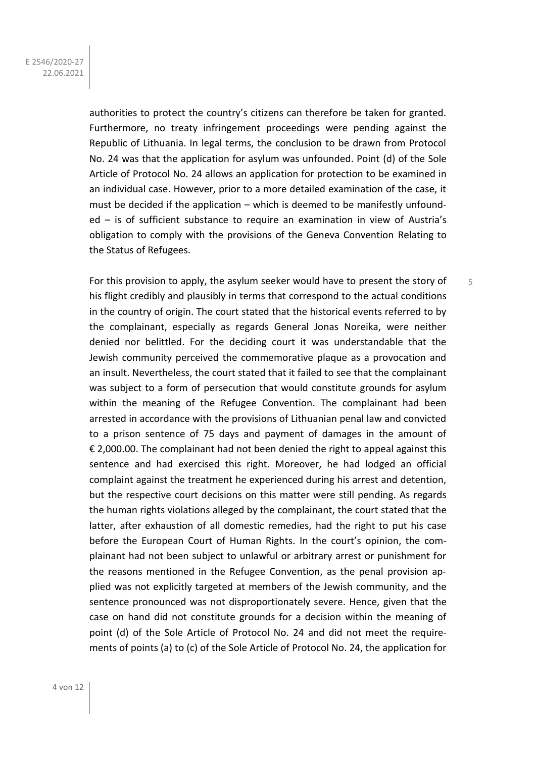authorities to protect the country's citizens can therefore be taken for granted. Furthermore, no treaty infringement proceedings were pending against the Republic of Lithuania. In legal terms, the conclusion to be drawn from Protocol No. 24 was that the application for asylum was unfounded. Point (d) of the Sole Article of Protocol No. 24 allows an application for protection to be examined in an individual case. However, prior to a more detailed examination of the case, it must be decided if the application – which is deemed to be manifestly unfounded – is of sufficient substance to require an examination in view of Austria's obligation to comply with the provisions of the Geneva Convention Relating to the Status of Refugees.

5

For this provision to apply, the asylum seeker would have to present the story of his flight credibly and plausibly in terms that correspond to the actual conditions in the country of origin. The court stated that the historical events referred to by the complainant, especially as regards General Jonas Noreika, were neither denied nor belittled. For the deciding court it was understandable that the Jewish community perceived the commemorative plaque as a provocation and an insult. Nevertheless, the court stated that it failed to see that the complainant was subject to a form of persecution that would constitute grounds for asylum within the meaning of the Refugee Convention. The complainant had been arrested in accordance with the provisions of Lithuanian penal law and convicted to a prison sentence of 75 days and payment of damages in the amount of € 2,000.00. The complainant had not been denied the right to appeal against this sentence and had exercised this right. Moreover, he had lodged an official complaint against the treatment he experienced during his arrest and detention, but the respective court decisions on this matter were still pending. As regards the human rights violations alleged by the complainant, the court stated that the latter, after exhaustion of all domestic remedies, had the right to put his case before the European Court of Human Rights. In the court's opinion, the complainant had not been subject to unlawful or arbitrary arrest or punishment for the reasons mentioned in the Refugee Convention, as the penal provision applied was not explicitly targeted at members of the Jewish community, and the sentence pronounced was not disproportionately severe. Hence, given that the case on hand did not constitute grounds for a decision within the meaning of point (d) of the Sole Article of Protocol No. 24 and did not meet the requirements of points (a) to (c) of the Sole Article of Protocol No. 24, the application for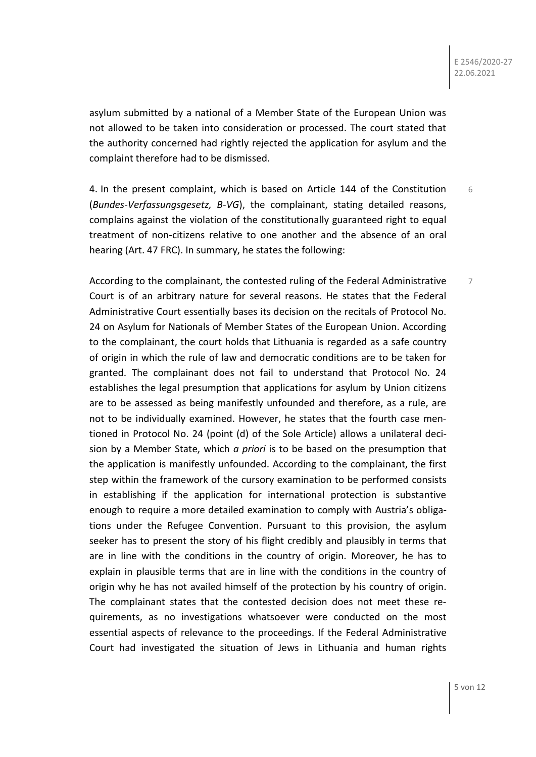7

asylum submitted by a national of a Member State of the European Union was not allowed to be taken into consideration or processed. The court stated that the authority concerned had rightly rejected the application for asylum and the complaint therefore had to be dismissed.

4. In the present complaint, which is based on Article 144 of the Constitution (*Bundes-Verfassungsgesetz, B-VG*), the complainant, stating detailed reasons, complains against the violation of the constitutionally guaranteed right to equal treatment of non-citizens relative to one another and the absence of an oral hearing (Art. 47 FRC). In summary, he states the following: 6

According to the complainant, the contested ruling of the Federal Administrative Court is of an arbitrary nature for several reasons. He states that the Federal Administrative Court essentially bases its decision on the recitals of Protocol No. 24 on Asylum for Nationals of Member States of the European Union. According to the complainant, the court holds that Lithuania is regarded as a safe country of origin in which the rule of law and democratic conditions are to be taken for granted. The complainant does not fail to understand that Protocol No. 24 establishes the legal presumption that applications for asylum by Union citizens are to be assessed as being manifestly unfounded and therefore, as a rule, are not to be individually examined. However, he states that the fourth case mentioned in Protocol No. 24 (point (d) of the Sole Article) allows a unilateral decision by a Member State, which *a priori* is to be based on the presumption that the application is manifestly unfounded. According to the complainant, the first step within the framework of the cursory examination to be performed consists in establishing if the application for international protection is substantive enough to require a more detailed examination to comply with Austria's obligations under the Refugee Convention. Pursuant to this provision, the asylum seeker has to present the story of his flight credibly and plausibly in terms that are in line with the conditions in the country of origin. Moreover, he has to explain in plausible terms that are in line with the conditions in the country of origin why he has not availed himself of the protection by his country of origin. The complainant states that the contested decision does not meet these requirements, as no investigations whatsoever were conducted on the most essential aspects of relevance to the proceedings. If the Federal Administrative Court had investigated the situation of Jews in Lithuania and human rights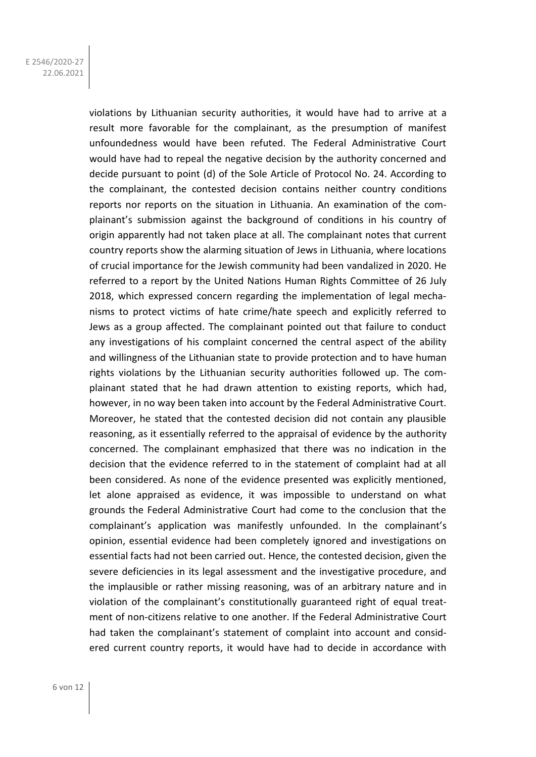violations by Lithuanian security authorities, it would have had to arrive at a result more favorable for the complainant, as the presumption of manifest unfoundedness would have been refuted. The Federal Administrative Court would have had to repeal the negative decision by the authority concerned and decide pursuant to point (d) of the Sole Article of Protocol No. 24. According to the complainant, the contested decision contains neither country conditions reports nor reports on the situation in Lithuania. An examination of the complainant's submission against the background of conditions in his country of origin apparently had not taken place at all. The complainant notes that current country reports show the alarming situation of Jews in Lithuania, where locations of crucial importance for the Jewish community had been vandalized in 2020. He referred to a report by the United Nations Human Rights Committee of 26 July 2018, which expressed concern regarding the implementation of legal mechanisms to protect victims of hate crime/hate speech and explicitly referred to Jews as a group affected. The complainant pointed out that failure to conduct any investigations of his complaint concerned the central aspect of the ability and willingness of the Lithuanian state to provide protection and to have human rights violations by the Lithuanian security authorities followed up. The complainant stated that he had drawn attention to existing reports, which had, however, in no way been taken into account by the Federal Administrative Court. Moreover, he stated that the contested decision did not contain any plausible reasoning, as it essentially referred to the appraisal of evidence by the authority concerned. The complainant emphasized that there was no indication in the decision that the evidence referred to in the statement of complaint had at all been considered. As none of the evidence presented was explicitly mentioned, let alone appraised as evidence, it was impossible to understand on what grounds the Federal Administrative Court had come to the conclusion that the complainant's application was manifestly unfounded. In the complainant's opinion, essential evidence had been completely ignored and investigations on essential facts had not been carried out. Hence, the contested decision, given the severe deficiencies in its legal assessment and the investigative procedure, and the implausible or rather missing reasoning, was of an arbitrary nature and in violation of the complainant's constitutionally guaranteed right of equal treatment of non-citizens relative to one another. If the Federal Administrative Court had taken the complainant's statement of complaint into account and considered current country reports, it would have had to decide in accordance with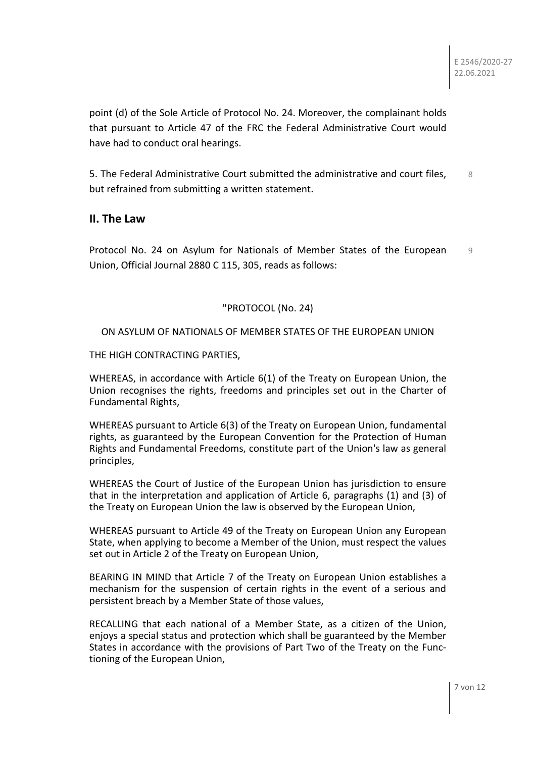point (d) of the Sole Article of Protocol No. 24. Moreover, the complainant holds that pursuant to Article 47 of the FRC the Federal Administrative Court would have had to conduct oral hearings.

5. The Federal Administrative Court submitted the administrative and court files, but refrained from submitting a written statement. 8

### **II. The Law**

Protocol No. 24 on Asylum for Nationals of Member States of the European Union, Official Journal 2880 C 115, 305, reads as follows: 9

#### "PROTOCOL (No. 24)

#### ON ASYLUM OF NATIONALS OF MEMBER STATES OF THE EUROPEAN UNION

THE HIGH CONTRACTING PARTIES,

WHEREAS, in accordance with Article 6(1) of the Treaty on European Union, the Union recognises the rights, freedoms and principles set out in the Charter of Fundamental Rights,

WHEREAS pursuant to Article 6(3) of the Treaty on European Union, fundamental rights, as guaranteed by the European Convention for the Protection of Human Rights and Fundamental Freedoms, constitute part of the Union's law as general principles,

WHEREAS the Court of Justice of the European Union has jurisdiction to ensure that in the interpretation and application of Article 6, paragraphs (1) and (3) of the Treaty on European Union the law is observed by the European Union,

WHEREAS pursuant to Article 49 of the Treaty on European Union any European State, when applying to become a Member of the Union, must respect the values set out in Article 2 of the Treaty on European Union,

BEARING IN MIND that Article 7 of the Treaty on European Union establishes a mechanism for the suspension of certain rights in the event of a serious and persistent breach by a Member State of those values,

RECALLING that each national of a Member State, as a citizen of the Union, enjoys a special status and protection which shall be guaranteed by the Member States in accordance with the provisions of Part Two of the Treaty on the Functioning of the European Union,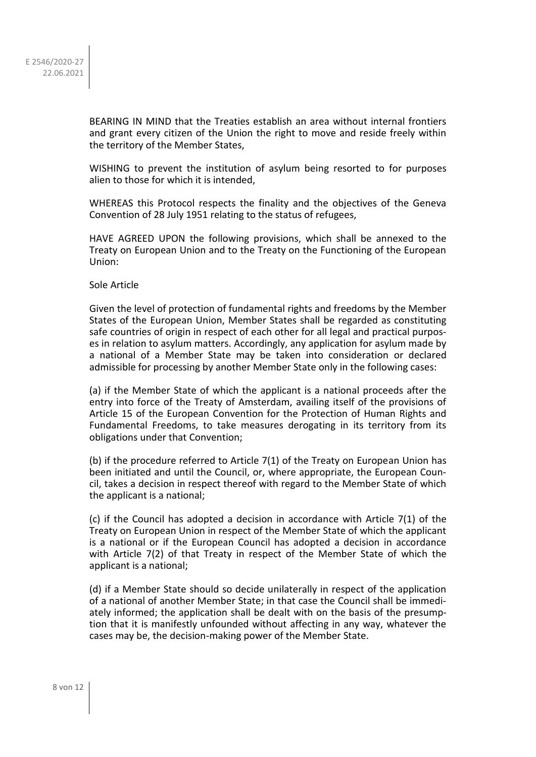BEARING IN MIND that the Treaties establish an area without internal frontiers and grant every citizen of the Union the right to move and reside freely within the territory of the Member States,

WISHING to prevent the institution of asylum being resorted to for purposes alien to those for which it is intended,

WHEREAS this Protocol respects the finality and the objectives of the Geneva Convention of 28 July 1951 relating to the status of refugees,

HAVE AGREED UPON the following provisions, which shall be annexed to the Treaty on European Union and to the Treaty on the Functioning of the European Union:

Sole Article

Given the level of protection of fundamental rights and freedoms by the Member States of the European Union, Member States shall be regarded as constituting safe countries of origin in respect of each other for all legal and practical purposes in relation to asylum matters. Accordingly, any application for asylum made by a national of a Member State may be taken into consideration or declared admissible for processing by another Member State only in the following cases:

(a) if the Member State of which the applicant is a national proceeds after the entry into force of the Treaty of Amsterdam, availing itself of the provisions of Article 15 of the European Convention for the Protection of Human Rights and Fundamental Freedoms, to take measures derogating in its territory from its obligations under that Convention;

(b) if the procedure referred to Article 7(1) of the Treaty on European Union has been initiated and until the Council, or, where appropriate, the European Council, takes a decision in respect thereof with regard to the Member State of which the applicant is a national;

(c) if the Council has adopted a decision in accordance with Article 7(1) of the Treaty on European Union in respect of the Member State of which the applicant is a national or if the European Council has adopted a decision in accordance with Article 7(2) of that Treaty in respect of the Member State of which the applicant is a national;

(d) if a Member State should so decide unilaterally in respect of the application of a national of another Member State; in that case the Council shall be immediately informed; the application shall be dealt with on the basis of the presumption that it is manifestly unfounded without affecting in any way, whatever the cases may be, the decision-making power of the Member State.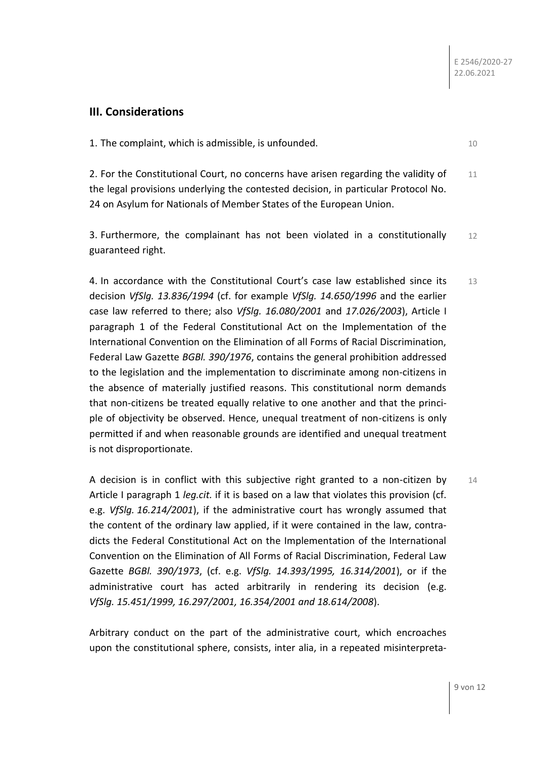# **III. Considerations**

1. The complaint, which is admissible, is unfounded. 10

2. For the Constitutional Court, no concerns have arisen regarding the validity of the legal provisions underlying the contested decision, in particular Protocol No. 24 on Asylum for Nationals of Member States of the European Union. 11

3. Furthermore, the complainant has not been violated in a constitutionally guaranteed right. 12

4. In accordance with the Constitutional Court's case law established since its decision *VfSlg. 13.836/1994* (cf. for example *VfSlg. 14.650/1996* and the earlier case law referred to there; also *VfSlg. 16.080/2001* and *17.026/2003*), Article I paragraph 1 of the Federal Constitutional Act on the Implementation of the International Convention on the Elimination of all Forms of Racial Discrimination, Federal Law Gazette *BGBl. 390/1976*, contains the general prohibition addressed to the legislation and the implementation to discriminate among non-citizens in the absence of materially justified reasons. This constitutional norm demands that non-citizens be treated equally relative to one another and that the principle of objectivity be observed. Hence, unequal treatment of non-citizens is only permitted if and when reasonable grounds are identified and unequal treatment is not disproportionate. 13

A decision is in conflict with this subjective right granted to a non-citizen by Article I paragraph 1 *leg.cit.* if it is based on a law that violates this provision (cf. e.g. *VfSlg. 16.214/2001*), if the administrative court has wrongly assumed that the content of the ordinary law applied, if it were contained in the law, contradicts the Federal Constitutional Act on the Implementation of the International Convention on the Elimination of All Forms of Racial Discrimination, Federal Law Gazette *BGBl. 390/1973*, (cf. e.g. *VfSlg. 14.393/1995, 16.314/2001*), or if the administrative court has acted arbitrarily in rendering its decision (e.g. *VfSlg. 15.451/1999, 16.297/2001, 16.354/2001 and 18.614/2008*).  $14$ 

Arbitrary conduct on the part of the administrative court, which encroaches upon the constitutional sphere, consists, inter alia, in a repeated misinterpreta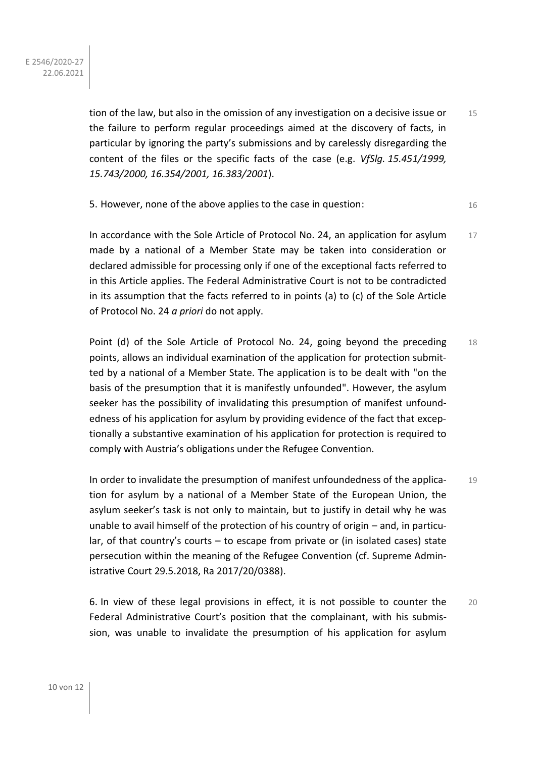tion of the law, but also in the omission of any investigation on a decisive issue or the failure to perform regular proceedings aimed at the discovery of facts, in particular by ignoring the party's submissions and by carelessly disregarding the content of the files or the specific facts of the case (e.g. *VfSlg. 15.451/1999, 15.743/2000, 16.354/2001, 16.383/2001*). 15

5. However, none of the above applies to the case in question: 16

In accordance with the Sole Article of Protocol No. 24, an application for asylum made by a national of a Member State may be taken into consideration or declared admissible for processing only if one of the exceptional facts referred to in this Article applies. The Federal Administrative Court is not to be contradicted in its assumption that the facts referred to in points (a) to (c) of the Sole Article of Protocol No. 24 *a priori* do not apply. 17

Point (d) of the Sole Article of Protocol No. 24, going beyond the preceding points, allows an individual examination of the application for protection submitted by a national of a Member State. The application is to be dealt with "on the basis of the presumption that it is manifestly unfounded". However, the asylum seeker has the possibility of invalidating this presumption of manifest unfoundedness of his application for asylum by providing evidence of the fact that exceptionally a substantive examination of his application for protection is required to comply with Austria's obligations under the Refugee Convention. 18

In order to invalidate the presumption of manifest unfoundedness of the application for asylum by a national of a Member State of the European Union, the asylum seeker's task is not only to maintain, but to justify in detail why he was unable to avail himself of the protection of his country of origin – and, in particular, of that country's courts – to escape from private or (in isolated cases) state persecution within the meaning of the Refugee Convention (cf. Supreme Administrative Court 29.5.2018, Ra 2017/20/0388). 19

6. In view of these legal provisions in effect, it is not possible to counter the Federal Administrative Court's position that the complainant, with his submission, was unable to invalidate the presumption of his application for asylum 20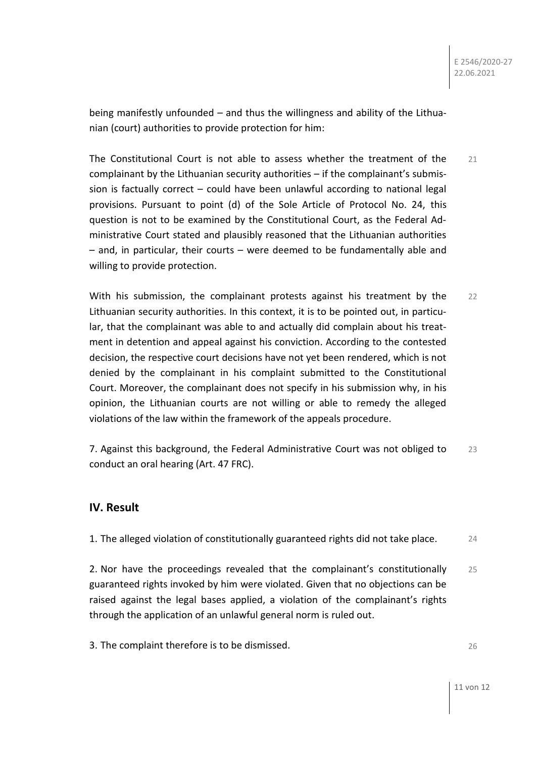being manifestly unfounded – and thus the willingness and ability of the Lithuanian (court) authorities to provide protection for him:

The Constitutional Court is not able to assess whether the treatment of the complainant by the Lithuanian security authorities – if the complainant's submission is factually correct – could have been unlawful according to national legal provisions. Pursuant to point (d) of the Sole Article of Protocol No. 24, this question is not to be examined by the Constitutional Court, as the Federal Administrative Court stated and plausibly reasoned that the Lithuanian authorities – and, in particular, their courts – were deemed to be fundamentally able and willing to provide protection. 21

With his submission, the complainant protests against his treatment by the Lithuanian security authorities. In this context, it is to be pointed out, in particular, that the complainant was able to and actually did complain about his treatment in detention and appeal against his conviction. According to the contested decision, the respective court decisions have not yet been rendered, which is not denied by the complainant in his complaint submitted to the Constitutional Court. Moreover, the complainant does not specify in his submission why, in his opinion, the Lithuanian courts are not willing or able to remedy the alleged violations of the law within the framework of the appeals procedure. 22

7. Against this background, the Federal Administrative Court was not obliged to conduct an oral hearing (Art. 47 FRC). 23

# **IV. Result**

1. The alleged violation of constitutionally guaranteed rights did not take place. 24

2. Nor have the proceedings revealed that the complainant's constitutionally guaranteed rights invoked by him were violated. Given that no objections can be raised against the legal bases applied, a violation of the complainant's rights through the application of an unlawful general norm is ruled out. 25

3. The complaint therefore is to be dismissed.

26